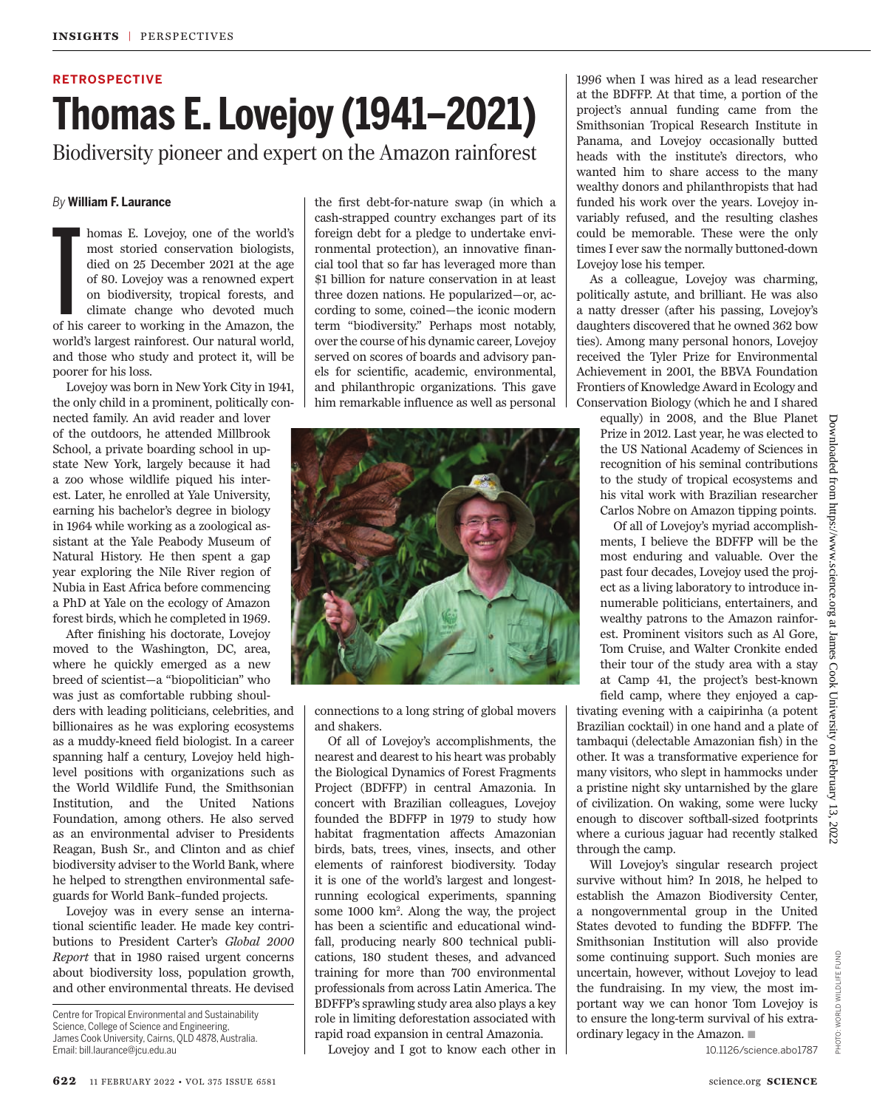## **RETROSPECTIVE Thomas E. Lovejoy (1941–2021)** Biodiversity pioneer and expert on the Amazon rainforest

*By* **William F. Laurance**

T<br>of his homas E. Lovejoy, one of the world's most storied conservation biologists, died on 25 December 2021 at the age of 80. Lovejoy was a renowned expert on biodiversity, tropical forests, and climate change who devoted much of his career to working in the Amazon, the world's largest rainforest. Our natural world, and those who study and protect it, will be poorer for his loss.

Lovejoy was born in New York City in 1941, the only child in a prominent, politically connected family. An avid reader and lover of the outdoors, he attended Millbrook School, a private boarding school in upstate New York, largely because it had a zoo whose wildlife piqued his interest. Later, he enrolled at Yale University, earning his bachelor's degree in biology in 1964 while working as a zoological assistant at the Yale Peabody Museum of Natural History. He then spent a gap year exploring the Nile River region of Nubia in East Africa before commencing a PhD at Yale on the ecology of Amazon forest birds, which he completed in 1969.

After finishing his doctorate, Lovejoy moved to the Washington, DC, area, where he quickly emerged as a new breed of scientist—a "biopolitician" who was just as comfortable rubbing shoul-

ders with leading politicians, celebrities, and billionaires as he was exploring ecosystems as a muddy-kneed field biologist. In a career spanning half a century, Lovejoy held highlevel positions with organizations such as the World Wildlife Fund, the Smithsonian Institution, and the United Nations Foundation, among others. He also served as an environmental adviser to Presidents Reagan, Bush Sr., and Clinton and as chief biodiversity adviser to the World Bank, where he helped to strengthen environmental safeguards for World Bank–funded projects.

Lovejoy was in every sense an international scientific leader. He made key contributions to President Carter's *Global 2000 Report* that in 1980 raised urgent concerns about biodiversity loss, population growth, and other environmental threats. He devised

Centre for Tropical Environmental and Sustainability Science, College of Science and Engineering, James Cook University, Cairns, QLD 4878, Australia. Email: bill.laurance@jcu.edu.au

the first debt-for-nature swap (in which a cash-strapped country exchanges part of its foreign debt for a pledge to undertake environmental protection), an innovative financial tool that so far has leveraged more than \$1 billion for nature conservation in at least three dozen nations. He popularized—or, according to some, coined—the iconic modern term "biodiversity." Perhaps most notably, over the course of his dynamic career, Lovejoy served on scores of boards and advisory panels for scientific, academic, environmental, and philanthropic organizations. This gave him remarkable influence as well as personal



connections to a long string of global movers and shakers.

Of all of Lovejoy's accomplishments, the nearest and dearest to his heart was probably the Biological Dynamics of Forest Fragments Project (BDFFP) in central Amazonia. In concert with Brazilian colleagues, Lovejoy founded the BDFFP in 1979 to study how habitat fragmentation affects Amazonian birds, bats, trees, vines, insects, and other elements of rainforest biodiversity. Today it is one of the world's largest and longestrunning ecological experiments, spanning some 1000 km<sup>2</sup> . Along the way, the project has been a scientific and educational windfall, producing nearly 800 technical publications, 180 student theses, and advanced training for more than 700 environmental professionals from across Latin America. The BDFFP's sprawling study area also plays a key role in limiting deforestation associated with rapid road expansion in central Amazonia.

Lovejoy and I got to know each other in

1996 when I was hired as a lead researcher at the BDFFP. At that time, a portion of the project's annual funding came from the Smithsonian Tropical Research Institute in Panama, and Lovejoy occasionally butted heads with the institute's directors, who wanted him to share access to the many wealthy donors and philanthropists that had funded his work over the years. Lovejoy invariably refused, and the resulting clashes could be memorable. These were the only times I ever saw the normally buttoned-down Lovejoy lose his temper.

As a colleague, Lovejoy was charming, politically astute, and brilliant. He was also a natty dresser (after his passing, Lovejoy's daughters discovered that he owned 362 bow ties). Among many personal honors, Lovejoy received the Tyler Prize for Environmental Achievement in 2001, the BBVA Foundation Frontiers of Knowledge Award in Ecology and Conservation Biology (which he and I shared

equally) in 2008, and the Blue Planet Prize in 2012. Last year, he was elected to the US National Academy of Sciences in recognition of his seminal contributions to the study of tropical ecosystems and his vital work with Brazilian researcher Carlos Nobre on Amazon tipping points.

Of all of Lovejoy's myriad accomplishments, I believe the BDFFP will be the most enduring and valuable. Over the past four decades, Lovejoy used the project as a living laboratory to introduce innumerable politicians, entertainers, and wealthy patrons to the Amazon rainforest. Prominent visitors such as Al Gore, Tom Cruise, and Walter Cronkite ended their tour of the study area with a stay at Camp 41, the project's best-known field camp, where they enjoyed a cap-

University tivating evening with a caipirinha (a potent Brazilian cocktail) in one hand and a plate of tambaqui (delectable Amazonian fish) in the on February other. It was a transformative experience for many visitors, who slept in hammocks under a pristine night sky untarnished by the glare of civilization. On waking, some were lucky enough to discover softball-sized footprints where a curious jaguar had recently stalked

Will Lovejoy's singular research project survive without him? In 2018, he helped to establish the Amazon Biodiversity Center, a nongovernmental group in the United States devoted to funding the BDFFP. The Smithsonian Institution will also provide some continuing support. Such monies are uncertain, however, without Lovejoy to lead the fundraising. In my view, the most important way we can honor Tom Lovejoy is to ensure the long-term survival of his extraordinary legacy in the Amazon.  $\blacksquare$ 

through the camp.

Downloaded from https://www.science.org at James Cook University on February 13, 2022

 $13$ 202

paded

I from

MMM/Sd11

science  $30^\circ$ ăt James Cook